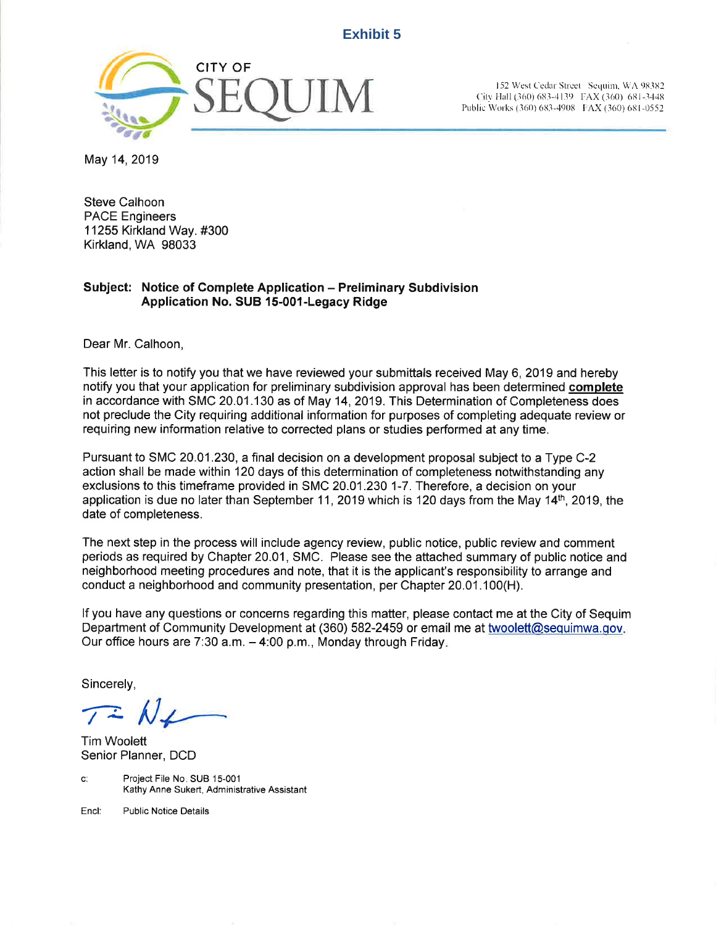## **Exhibit 5**



City Hall (360) 683-4139 FAX (360) 681-3448 Public Works (360) 683-4908 FAX (360) 681-0552

May 14,2019

Steve Calhoon PACE Engineers 11255 Kirkland Way. #300 Kirkland, WA 98033

## Subject: Notice of Complete Application - Preliminary Subdivision Application No. SUB 15-001-Legacy Ridge

Dear Mr. Calhoon,

This letter is to notify you that we have reviewed your submittals received May 6, 2019 and hereby notify you that your application for preliminary subdivision approval has been determined complete in accordance with SMC 20.01.130 as of May 14,2019. This Determination of Completeness does not preclude the City requiring additional information for purposes of completing adequate review or requiring new information relative to corrected plans or studies performed at any time.

Pursuant to SMC 20.01 .230, a final decision on a development proposal subject to a Type C-2 action shall be made within 120 days of this determination of completeness notwithstanding any exclusions to this timeframe provided in SMC 20.01.230 1-7. Therefore, a decision on your application is due no later than September 11, 2019 which is 120 days from the May 14<sup>th</sup>, 2019, the date of completeness.

The next step in the process will include agency review, public notice, public review and comment periods as required by Chapter 20.01, SMC. Please see the attached summary of public notice and neighborhood meeting procedures and note, that it is the applicant's responsibility to arrange and conduct a neighborhood and community presentation, per Chapter 20.01.100(H).

lf you have any questions or concerns regarding this matter, please contact me at the City of Sequim Department of Community Development at (360) 582-2459 or email me at twoolett@sequimwa.qov Our office hours are 7:30 a.m.  $-$  4:00 p.m., Monday through Friday.

Sincerely,

Tim Woolett Senior Planner, DCD

c: Project File No. SUB 15-001 Kathy Anne Sukert, Administrative Assistant

Encl: Public Notice Details